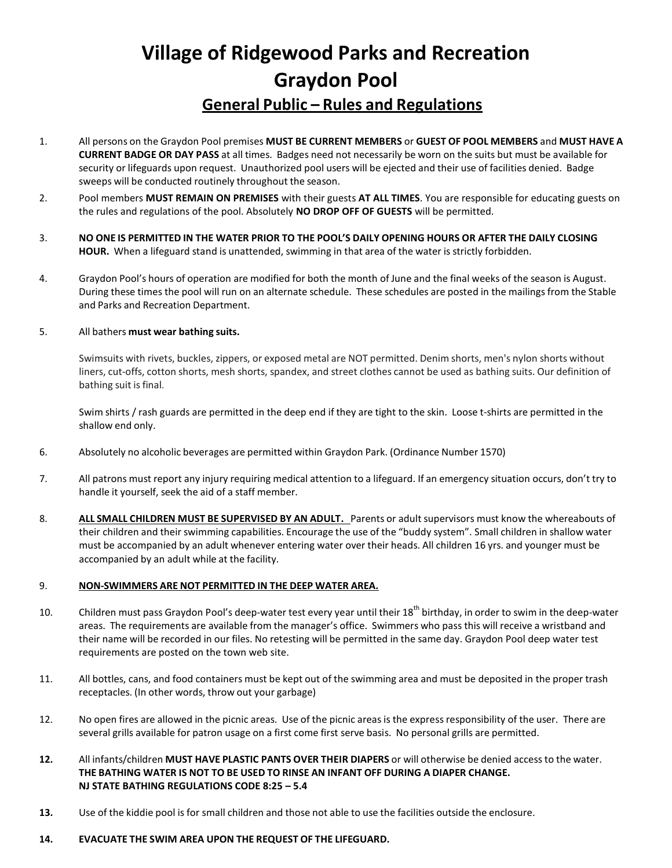# **Village of Ridgewood Parks and Recreation Graydon Pool**

## **General Public – Rules and Regulations**

- 1. All persons on the Graydon Pool premises **MUST BE CURRENT MEMBERS** or **GUEST OF POOL MEMBERS** and **MUST HAVE A CURRENT BADGE OR DAY PASS** at all times. Badges need not necessarily be worn on the suits but must be available for security or lifeguards upon request. Unauthorized pool users will be ejected and their use of facilities denied. Badge sweeps will be conducted routinely throughout the season.
- 2. Pool members **MUST REMAIN ON PREMISES** with their guests **AT ALL TIMES**. You are responsible for educating guests on the rules and regulations of the pool. Absolutely **NO DROP OFF OF GUESTS** will be permitted.
- 3. NO ONE IS PERMITTED IN THE WATER PRIOR TO THE POOL'S DAILY OPENING HOURS OR AFTER THE DAILY CLOSING **HOUR.** When a lifeguard stand is unattended, swimming in that area of the water is strictly forbidden.
- 4. Graydon Pool's hours of operation are modified for both the month of June and the final weeks of the season is August. During these times the pool will run on an alternate schedule. These schedules are posted in the mailings from the Stable and Parks and Recreation Department.

### 5. All bathers **must wear bathing suits.**

Swimsuits with rivets, buckles, zippers, or exposed metal are NOT permitted. Denim shorts, men's nylon shorts without liners, cut-offs, cotton shorts, mesh shorts, spandex, and street clothes cannot be used as bathing suits. Our definition of bathing suit is final.

Swim shirts / rash guards are permitted in the deep end if they are tight to the skin. Loose t-shirts are permitted in the shallow end only.

- 6. Absolutely no alcoholic beverages are permitted within Graydon Park. (Ordinance Number 1570)
- 7. All patrons must report any injury requiring medical attention to a lifeguard. If an emergency situation occurs, don't try to handle it yourself, seek the aid of a staff member.
- 8. **ALL SMALL CHILDREN MUST BE SUPERVISED BY AN ADULT.** Parents or adult supervisors must know the whereabouts of their children and their swimming capabilities. Encourage the use of the "buddy system". Small children in shallow water must be accompanied by an adult whenever entering water over their heads. All children 16 yrs. and younger must be accompanied by an adult while at the facility.

### 9. **NON-SWIMMERS ARE NOT PERMITTED IN THE DEEP WATER AREA.**

- 10. Children must pass Graydon Pool's deep-water test every year until their 18<sup>th</sup> birthday, in order to swim in the deep-water areas. The requirements are available from the manager's office. Swimmers who pass this will receive a wristband and their name will be recorded in our files. No retesting will be permitted in the same day. Graydon Pool deep water test requirements are posted on the town web site.
- 11. All bottles, cans, and food containers must be kept out of the swimming area and must be deposited in the proper trash receptacles. (In other words, throw out your garbage)
- 12. No open fires are allowed in the picnic areas. Use of the picnic areas is the express responsibility of the user. There are several grills available for patron usage on a first come first serve basis. No personal grills are permitted.
- **12.** All infants/children **MUST HAVE PLASTIC PANTS OVER THEIR DIAPERS** or will otherwise be denied access to the water. **THE BATHING WATER IS NOT TO BE USED TO RINSE AN INFANT OFF DURING A DIAPER CHANGE. NJ STATE BATHING REGULATIONS CODE 8:25 – 5.4**
- **13.** Use of the kiddie pool is for small children and those not able to use the facilities outside the enclosure.

### **14. EVACUATE THE SWIM AREA UPON THE REQUEST OF THE LIFEGUARD.**